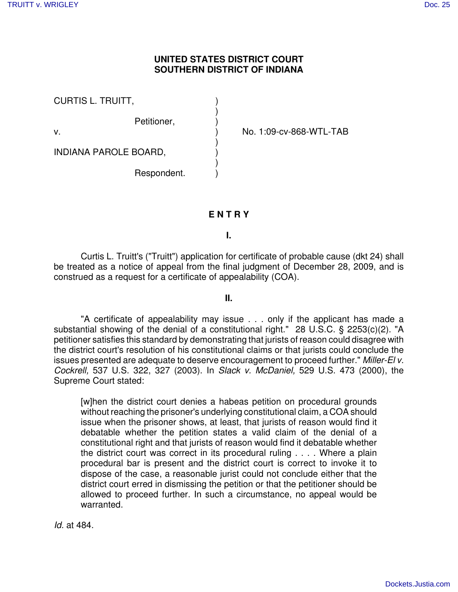## **UNITED STATES DISTRICT COURT SOUTHERN DISTRICT OF INDIANA**

| <b>CURTIS L. TRUITT,</b>     |             |  |
|------------------------------|-------------|--|
|                              | Petitioner, |  |
| v.                           |             |  |
| <b>INDIANA PAROLE BOARD,</b> |             |  |
|                              | Respondent. |  |

No. 1:09-cv-868-WTL-TAB

## **E N T R Y**

**I.**

Curtis L. Truitt's ("Truitt") application for certificate of probable cause (dkt 24) shall be treated as a notice of appeal from the final judgment of December 28, 2009, and is construed as a request for a certificate of appealability (COA).

**II.**

"A certificate of appealability may issue . . . only if the applicant has made a substantial showing of the denial of a constitutional right." 28 U.S.C. § 2253(c)(2). "A petitioner satisfies this standard by demonstrating that jurists of reason could disagree with the district court's resolution of his constitutional claims or that jurists could conclude the issues presented are adequate to deserve encouragement to proceed further." *Miller-El v. Cockrell,* 537 U.S. 322, 327 (2003). In *Slack v. McDaniel,* 529 U.S. 473 (2000), the Supreme Court stated:

[w]hen the district court denies a habeas petition on procedural grounds without reaching the prisoner's underlying constitutional claim, a COA should issue when the prisoner shows, at least, that jurists of reason would find it debatable whether the petition states a valid claim of the denial of a constitutional right and that jurists of reason would find it debatable whether the district court was correct in its procedural ruling . . . . Where a plain procedural bar is present and the district court is correct to invoke it to dispose of the case, a reasonable jurist could not conclude either that the district court erred in dismissing the petition or that the petitioner should be allowed to proceed further. In such a circumstance, no appeal would be warranted.

*Id.* at 484.